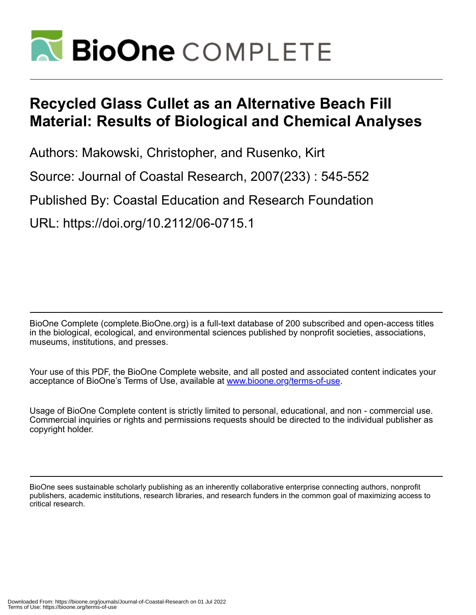

# **Recycled Glass Cullet as an Alternative Beach Fill Material: Results of Biological and Chemical Analyses**

Authors: Makowski, Christopher, and Rusenko, Kirt

Source: Journal of Coastal Research, 2007(233) : 545-552

Published By: Coastal Education and Research Foundation

URL: https://doi.org/10.2112/06-0715.1

BioOne Complete (complete.BioOne.org) is a full-text database of 200 subscribed and open-access titles in the biological, ecological, and environmental sciences published by nonprofit societies, associations, museums, institutions, and presses.

Your use of this PDF, the BioOne Complete website, and all posted and associated content indicates your acceptance of BioOne's Terms of Use, available at www.bioone.org/terms-of-use.

Usage of BioOne Complete content is strictly limited to personal, educational, and non - commercial use. Commercial inquiries or rights and permissions requests should be directed to the individual publisher as copyright holder.

BioOne sees sustainable scholarly publishing as an inherently collaborative enterprise connecting authors, nonprofit publishers, academic institutions, research libraries, and research funders in the common goal of maximizing access to critical research.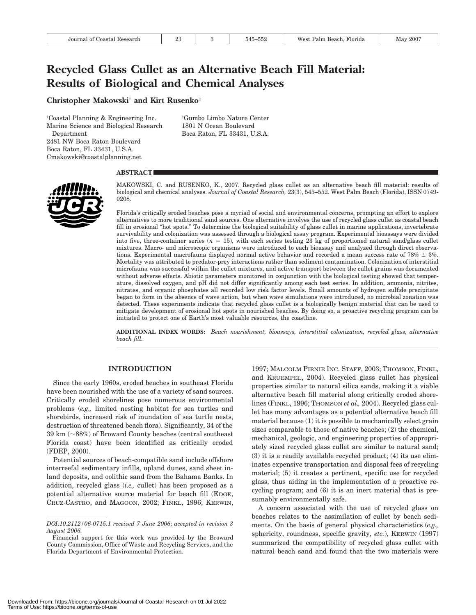# **Recycled Glass Cullet as an Alternative Beach Fill Material: Results of Biological and Chemical Analyses**

**Christopher Makowski**† **and Kirt Rusenko**‡

† Coastal Planning & Engineering Inc. Marine Science and Biological Research Department 2481 NW Boca Raton Boulevard Boca Raton, FL 33431, U.S.A. Cmakowski@coastalplanning.net

‡ Gumbo Limbo Nature Center 1801 N Ocean Boulevard Boca Raton, FL 33431, U.S.A.

#### **ABSTRACT**



MAKOWSKI, C. and RUSENKO, K., 2007. Recycled glass cullet as an alternative beach fill material: results of biological and chemical analyses. *Journal of Coastal Research,* 23(3), 545–552. West Palm Beach (Florida), ISSN 0749- 0208.

Florida's critically eroded beaches pose a myriad of social and environmental concerns, prompting an effort to explore alternatives to more traditional sand sources. One alternative involves the use of recycled glass cullet as coastal beach fill in erosional "hot spots." To determine the biological suitability of glass cullet in marine applications, invertebrate survivability and colonization was assessed through a biological assay program. Experimental bioassays were divided into five, three-container series  $(n = 15)$ , with each series testing 23 kg of proportioned natural sand/glass cullet mixtures. Macro- and microscopic organisms were introduced to each bioassay and analyzed through direct observations. Experimental macrofauna displayed normal active behavior and recorded a mean success rate of 78%  $\pm$  3%. Mortality was attributed to predator-prey interactions rather than sediment contamination. Colonization of interstitial microfauna was successful within the cullet mixtures, and active transport between the cullet grains was documented without adverse effects. Abiotic parameters monitored in conjunction with the biological testing showed that temperature, dissolved oxygen, and pH did not differ significantly among each test series. In addition, ammonia, nitrites, nitrates, and organic phosphates all recorded low risk factor levels. Small amounts of hydrogen sulfide precipitate began to form in the absence of wave action, but when wave simulations were introduced, no microbial zonation was detected. These experiments indicate that recycled glass cullet is a biologically benign material that can be used to mitigate development of erosional hot spots in nourished beaches. By doing so, a proactive recycling program can be initiated to protect one of Earth's most valuable resources, the coastline.

**ADDITIONAL INDEX WORDS:** *Beach nourishment, bioassays, interstitial colonization, recycled glass, alternative beach fill.*

# **INTRODUCTION**

Since the early 1960s, eroded beaches in southeast Florida have been nourished with the use of a variety of sand sources. Critically eroded shorelines pose numerous environmental problems (*e.g.,* limited nesting habitat for sea turtles and shorebirds, increased risk of inundation of sea turtle nests, destruction of threatened beach flora). Significantly, 34 of the 39 km  $(\sim88\%)$  of Broward County beaches (central southeast Florida coast) have been identified as critically eroded (FDEP, 2000).

Potential sources of beach-compatible sand include offshore interreefal sedimentary infills, upland dunes, sand sheet inland deposits, and oolithic sand from the Bahama Banks. In addition, recycled glass (*i.e.,* cullet) has been proposed as a potential alternative source material for beach fill (EDGE, CRUZ-CASTRO, and MAGOON, 2002; FINKL, 1996; KERWIN, 1997; MALCOLM PIRNIE INC. STAFF, 2003; THOMSON, FINKL, and KRUEMPEL, 2004). Recycled glass cullet has physical properties similar to natural silica sands, making it a viable alternative beach fill material along critically eroded shorelines (FINKL, 1996; THOMSON *et al.,* 2004). Recycled glass cullet has many advantages as a potential alternative beach fill material because (1) it is possible to mechanically select grain sizes comparable to those of native beaches; (2) the chemical, mechanical, geologic, and engineering properties of appropriately sized recycled glass cullet are similar to natural sand; (3) it is a readily available recycled product; (4) its use eliminates expensive transportation and disposal fees of recycling material; (5) it creates a pertinent, specific use for recycled glass, thus aiding in the implementation of a proactive recycling program; and (6) it is an inert material that is presumably environmentally safe.

A concern associated with the use of recycled glass on beaches relates to the assimilation of cullet by beach sediments. On the basis of general physical characteristics (*e.g.,* sphericity, roundness, specific gravity, *etc.*), KERWIN (1997) summarized the compatibility of recycled glass cullet with natural beach sand and found that the two materials were

*DOI:10.2112/06-0715.1 received 7 June 2006; accepted in revision 3 August 2006.*

Financial support for this work was provided by the Broward County Commission, Office of Waste and Recycling Services, and the Florida Department of Environmental Protection.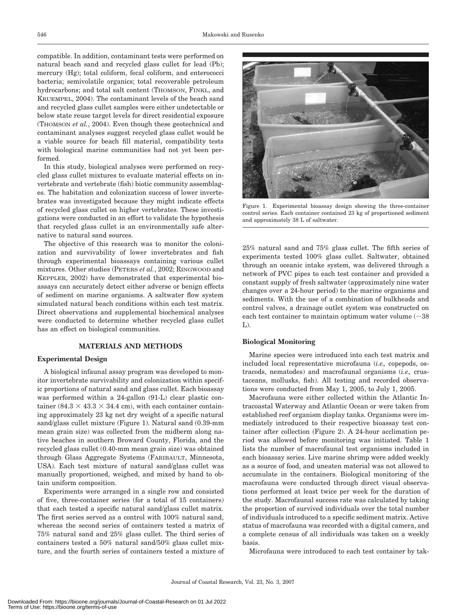compatible. In addition, contaminant tests were performed on natural beach sand and recycled glass cullet for lead (Pb); mercury (Hg); total coliform, fecal coliform, and enterococci bacteria; semivolatile organics; total recoverable petroleum hydrocarbons; and total salt content (THOMSON, FINKL, and KRUEMPEL, 2004). The contaminant levels of the beach sand and recycled glass cullet samples were either undetectable or below state reuse target levels for direct residential exposure (THOMSON *et al.*, 2004). Even though these geotechnical and contaminant analyses suggest recycled glass cullet would be a viable source for beach fill material, compatibility tests with biological marine communities had not yet been performed.

In this study, biological analyses were performed on recycled glass cullet mixtures to evaluate material effects on invertebrate and vertebrate (fish) biotic community assemblages. The habitation and colonization success of lower invertebrates was investigated because they might indicate effects of recycled glass cullet on higher vertebrates. These investigations were conducted in an effort to validate the hypothesis that recycled glass cullet is an environmentally safe alternative to natural sand sources.

The objective of this research was to monitor the colonization and survivability of lower invertebrates and fish through experimental bioassays containing various cullet mixtures. Other studies (PETERS *et al.*, 2002; RINGWOOD and KEPPLER, 2002) have demonstrated that experimental bioassays can accurately detect either adverse or benign effects of sediment on marine organisms. A saltwater flow system simulated natural beach conditions within each test matrix. Direct observations and supplemental biochemical analyses were conducted to determine whether recycled glass cullet has an effect on biological communities.

#### **MATERIALS AND METHODS**

### **Experimental Design**

A biological infaunal assay program was developed to monitor invertebrate survivability and colonization within specific proportions of natural sand and glass cullet. Each bioassay was performed within a 24-gallon (91-L) clear plastic container (84.3  $\times$  43.3  $\times$  34.4 cm), with each container containing approximately 23 kg net dry weight of a specific natural sand/glass cullet mixture (Figure 1). Natural sand (0.39-mm mean grain size) was collected from the midberm along native beaches in southern Broward County, Florida, and the recycled glass cullet (0.40-mm mean grain size) was obtained through Glass Aggregate Systems (FARIBAULT, Minnesota, USA). Each test mixture of natural sand/glass cullet was manually proportioned, weighed, and mixed by hand to obtain uniform composition.

Experiments were arranged in a single row and consisted of five, three-container series (for a total of 15 containers) that each tested a specific natural sand/glass cullet matrix. The first series served as a control with 100% natural sand, whereas the second series of containers tested a matrix of 75% natural sand and 25% glass cullet. The third series of containers tested a 50% natural sand/50% glass cullet mixture, and the fourth series of containers tested a mixture of



Figure 1. Experimental bioassay design showing the three-container control series. Each container contained 23 kg of proportioned sediment and approximately 38 L of saltwater.

25% natural sand and 75% glass cullet. The fifth series of experiments tested 100% glass cullet. Saltwater, obtained through an oceanic intake system, was delivered through a network of PVC pipes to each test container and provided a constant supply of fresh saltwater (approximately nine water changes over a 24-hour period) to the marine organisms and sediments. With the use of a combination of bulkheads and control valves, a drainage outlet system was constructed on each test container to maintain optimum water volume  $(\sim]38$ L).

#### **Biological Monitoring**

Marine species were introduced into each test matrix and included local representative microfauna (*i.e.,* copepods, ostracods, nematodes) and macrofaunal organisms (*i.e.,* crustaceans, mollusks, fish). All testing and recorded observations were conducted from May 1, 2005, to July 1, 2005.

Macrofauna were either collected within the Atlantic Intracoastal Waterway and Atlantic Ocean or were taken from established reef organism display tanks. Organisms were immediately introduced to their respective bioassay test container after collection (Figure 2). A 24-hour acclimation period was allowed before monitoring was initiated. Table 1 lists the number of macrofaunal test organisms included in each bioassay series. Live marine shrimp were added weekly as a source of food, and uneaten material was not allowed to accumulate in the containers. Biological monitoring of the macrofauna were conducted through direct visual observations performed at least twice per week for the duration of the study. Macrofaunal success rate was calculated by taking the proportion of survived individuals over the total number of individuals introduced to a specific sediment matrix. Active status of macrofauna was recorded with a digital camera, and a complete census of all individuals was taken on a weekly basis.

Microfauna were introduced to each test container by tak-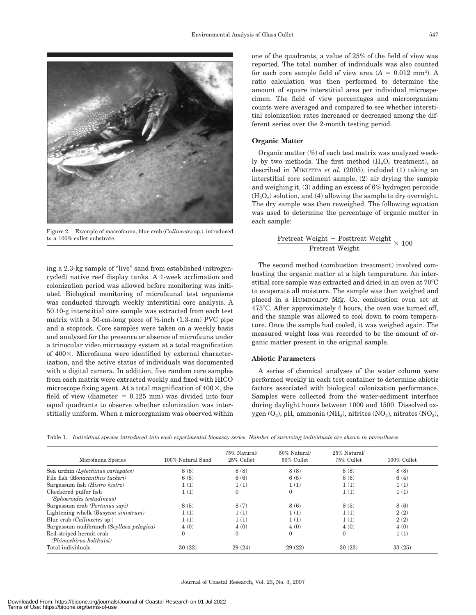

Figure 2. Example of macrofauna, blue crab (*Callinectes* sp.), introduced to a 100% cullet substrate.

ing a 2.3-kg sample of ''live'' sand from established (nitrogencycled) native reef display tanks. A 1-week acclimation and colonization period was allowed before monitoring was initiated. Biological monitoring of microfaunal test organisms was conducted through weekly interstitial core analysis. A 50.10-g interstitial core sample was extracted from each test matrix with a 50-cm-long piece of  $\frac{1}{2}$ -inch (1.3-cm) PVC pipe and a stopcock. Core samples were taken on a weekly basis and analyzed for the presence or absence of microfauna under a trinocular video microscopy system at a total magnification of  $400\times$ . Microfauna were identified by external characterization, and the active status of individuals was documented with a digital camera. In addition, five random core samples from each matrix were extracted weekly and fixed with HICO microscope fixing agent. At a total magnification of  $400 \times$ , the field of view (diameter  $= 0.125$  mm) was divided into four equal quadrants to observe whether colonization was interstitially uniform. When a microorganism was observed within

one of the quadrants, a value of 25% of the field of view was reported. The total number of individuals was also counted for each core sample field of view area  $(A = 0.012 \text{ mm}^2)$ . A ratio calculation was then performed to determine the amount of square interstitial area per individual microspecimen. The field of view percentages and microorganism counts were averaged and compared to see whether interstitial colonization rates increased or decreased among the different series over the 2-month testing period.

#### **Organic Matter**

Organic matter (%) of each test matrix was analyzed weekly by two methods. The first method  $(H<sub>2</sub>O<sub>2</sub>$  treatment), as described in MIKUTTA *et al.* (2005), included (1) taking an interstitial core sediment sample, (2) air drying the sample and weighing it, (3) adding an excess of 6% hydrogen peroxide  $(H<sub>2</sub>O<sub>2</sub>)$  solution, and (4) allowing the sample to dry overnight. The dry sample was then reweighed. The following equation was used to determine the percentage of organic matter in each sample:

$$
\frac{\text{Pretrecht Weight} - \text{Posttrecht Weight}}{\text{Pretrecht Weight}} \times 100
$$

The second method (combustion treatment) involved combusting the organic matter at a high temperature. An interstitial core sample was extracted and dried in an oven at  $70^{\circ}$ C to evaporate all moisture. The sample was then weighed and placed in a HUMBOLDT Mfg. Co. combustion oven set at 475C. After approximately 4 hours, the oven was turned off, and the sample was allowed to cool down to room temperature. Once the sample had cooled, it was weighed again. The measured weight loss was recorded to be the amount of organic matter present in the original sample.

# **Abiotic Parameters**

A series of chemical analyses of the water column were performed weekly in each test container to determine abiotic factors associated with biological colonization performance. Samples were collected from the water-sediment interface during daylight hours between 1000 and 1500. Dissolved oxygen  $(O_2)$ , pH, ammonia (NH<sub>3</sub>), nitrites  $(NO_2)$ , nitrates  $(NO_3)$ ,

|  |  | Table 1. Individual species introduced into each experimental bioassay series. Number of surviving individuals are shown in parentheses. |  |  |  |  |  |  |  |  |
|--|--|------------------------------------------------------------------------------------------------------------------------------------------|--|--|--|--|--|--|--|--|
|--|--|------------------------------------------------------------------------------------------------------------------------------------------|--|--|--|--|--|--|--|--|

| Microfauna Species                       | 100% Natural Sand | 75% Natural/<br>25% Cullet | $50\%$ Natural/<br>50% Cullet | 25% Natural/<br>75% Cullet | $100\%$ Cullet |
|------------------------------------------|-------------------|----------------------------|-------------------------------|----------------------------|----------------|
| Sea urchin (Lytechinus variegates)       | 8(8)              | 8(8)                       | 8(8)                          | 8(8)                       | 8(8)           |
| File fish (Monacanthus tuckeri)          | 6(5)              | 6(6)                       | 6(5)                          | 6(6)                       | 6(4)           |
| Sargassum fish (Histro histro)           | 1(1)              | 1(1)                       | 1(1)                          | 1(1)                       | 1(1)           |
| Checkered puffer fish                    | 1(1)              | $\mathbf{0}$               | $\mathbf{0}$                  | 1(1)                       | 1(1)           |
| (Sphoeroides testudineus)                |                   |                            |                               |                            |                |
| Sargassum crab (Portunus sayi)           | 8(5)              | 8(7)                       | 8(6)                          | 8(5)                       | 8(6)           |
| Lightening whelk (Busycon sinistrum)     | 1(1)              | 1(1)                       | 1(1)                          | 1(1)                       | 2(2)           |
| Blue crab <i>(Callinectes sp.)</i>       | 1(1)              | 1(1)                       | 1(1)                          | 1(1)                       | 2(2)           |
| Sargassum nudibranch (Scyllaea pelagica) | 4(0)              | 4(0)                       | 4(0)                          | 4(0)                       | 4(0)           |
| Red-striped hermit crab                  | $\mathbf{0}$      | $\mathbf{0}$               | $\mathbf{0}$                  | $\mathbf{0}$               | 1(1)           |
| (Phimochirus holthuisi)                  |                   |                            |                               |                            |                |
| Total individuals                        | 30(22)            | 29(24)                     | 29(22)                        | 30(23)                     | 33(25)         |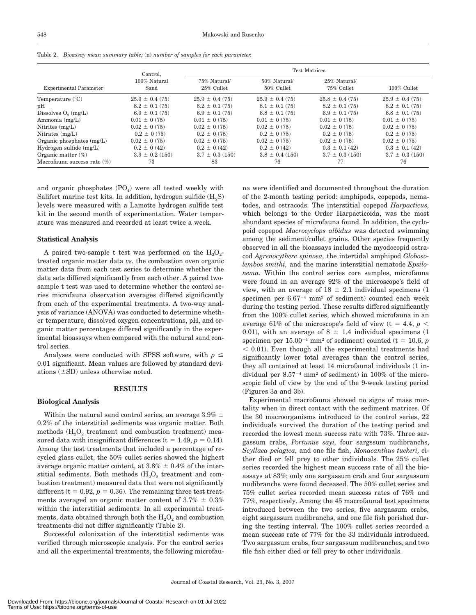| Table 2.<br>Bioassay mean summary table; (n) number of samples for each parameter. |                                  |                            |                               |                            |                    |  |  |  |  |
|------------------------------------------------------------------------------------|----------------------------------|----------------------------|-------------------------------|----------------------------|--------------------|--|--|--|--|
|                                                                                    | Control.<br>100% Natural<br>Sand | <b>Test Matrices</b>       |                               |                            |                    |  |  |  |  |
| <b>Experimental Parameter</b>                                                      |                                  | 75% Natural/<br>25% Cullet | 50% Natural/<br>$50\%$ Cullet | 25% Natural/<br>75% Cullet | 100% Cullet        |  |  |  |  |
| Temperature $(^{\circ}C)$                                                          | $25.9 \pm 0.4(75)$               | $25.9 \pm 0.4(75)$         | $25.9 \pm 0.4(75)$            | $25.8 \pm 0.4(75)$         | $25.9 \pm 0.4$ (75 |  |  |  |  |
| pH                                                                                 | $8.2 \pm 0.1(75)$                | $8.2 \pm 0.1(75)$          | $8.1 \pm 0.1(75)$             | $8.2 \pm 0.1(75)$          | $8.2 \pm 0.1$ (75  |  |  |  |  |
| Dissolves $O_2$ (mg/L)                                                             | $6.9 \pm 0.1(75)$                | $6.9 \pm 0.1(75)$          | $6.8 \pm 0.1(75)$             | $6.9 \pm 0.1(75)$          | $6.8 \pm 0.1$ (75  |  |  |  |  |
| Ammonia (mg/L)                                                                     | $0.01 \pm 0.75$                  | $0.01 \pm 0.75$            | $0.01 \pm 0.75$               | $0.01 \pm 0.75$            | $0.01 \pm 0.75$    |  |  |  |  |
| Nitrites $(mg/L)$                                                                  | $0.02 \pm 0.75$                  | $0.02 \pm 0.75$            | $0.02 \pm 0.75$               | $0.02 \pm 0.75$            | $0.02 \pm 0.75$    |  |  |  |  |
| Nitrates $(mg/L)$                                                                  | $0.2 \pm 0.75$                   | $0.2 \pm 0.75$             | $0.2 \pm 0.75$                | $0.2 \pm 0.75$             | $0.2 \pm 0.75$     |  |  |  |  |
| Organic phosphates $(mg/L)$                                                        | $0.02 \pm 0.75$                  | $0.02 \pm 0.75$            | $0.02 \pm 0.75$               | $0.02 \pm 0.75$            | $0.02 \pm 0.75$    |  |  |  |  |

 $0.2 \pm 0.42$  $3.7 \pm 0.3$  (150) 83

 $0.2 \pm 0.42$  $3.8 \pm 0.4$  (150) 76

 $0.2 \pm 0.42$  $3.9 \pm 0.2$  (150) 73

and organic phosphates  $(PO<sub>4</sub>)$  were all tested weekly with Salifert marine test kits. In addition, hydrogen sulfide  $(H_2S)$ levels were measured with a Lamotte hydrogen sulfide test kit in the second month of experimentation. Water temperature was measured and recorded at least twice a week.

#### **Statistical Analysis**

Hydrogen sulfide (mg/L) Organic matter (%) Macrofauna success rate (%)

A paired two-sample t test was performed on the  $H_2O_2$ treated organic matter data *vs.* the combustion oven organic matter data from each test series to determine whether the data sets differed significantly from each other. A paired twosample t test was used to determine whether the control series microfauna observation averages differed significantly from each of the experimental treatments. A two-way analysis of variance (ANOVA) was conducted to determine whether temperature, dissolved oxygen concentrations, pH, and organic matter percentages differed significantly in the experimental bioassays when compared with the natural sand control series.

Analyses were conducted with SPSS software, with  $p \leq$ 0.01 significant. Mean values are followed by standard deviations  $(\pm SD)$  unless otherwise noted.

### **RESULTS**

# **Biological Analysis**

Within the natural sand control series, an average 3.9%  $\pm$ 0.2% of the interstitial sediments was organic matter. Both methods  $(H_2O_2)$  treatment and combustion treatment) measured data with insignificant differences ( $t = 1.49, p = 0.14$ ). Among the test treatments that included a percentage of recycled glass cullet, the 50% cullet series showed the highest average organic matter content, at  $3.8\% \pm 0.4\%$  of the interstitial sediments. Both methods  $(H_2O_2)$  treatment and combustion treatment) measured data that were not significantly different ( $t = 0.92$ ,  $p = 0.36$ ). The remaining three test treatments averaged an organic matter content of  $3.7\% \pm 0.3\%$ within the interstitial sediments. In all experimental treatments, data obtained through both the  $H_2O_2$  and combustion treatments did not differ significantly (Table 2).

Successful colonization of the interstitial sediments was verified through microscopic analysis. For the control series and all the experimental treatments, the following microfau-

na were identified and documented throughout the duration of the 2-month testing period: amphipods, copepods, nematodes, and ostracods. The interstitial copepod *Harpacticus,* which belongs to the Order Harpacticoida, was the most abundant species of microfauna found. In addition, the cyclopoid copepod *Macrocyclops albidus* was detected swimming among the sediment/cullet grains. Other species frequently observed in all the bioassays included the myodocopid ostracod *Agrenocythere spinosa,* the intertidal amphipod *Globosolembos smithi,* and the marine interstitial nematode *Epsilonema.* Within the control series core samples, microfauna were found in an average 92% of the microscope's field of view, with an average of  $18 \pm 2.1$  individual specimens (1 specimen per  $6.67<sup>-4</sup>$  mm<sup>2</sup> of sediment) counted each week during the testing period. These results differed significantly from the 100% cullet series, which showed microfauna in an average 61% of the microscope's field of view (t = 4.4,  $p<$ 0.01), with an average of 8  $\pm$  1.4 individual specimens (1 specimen per  $15.00^{-4}$  mm<sup>2</sup> of sediment) counted (t = 10.6, *p*  $<$  0.01). Even though all the experimental treatments had significantly lower total averages than the control series, they all contained at least 14 microfaunal individuals (1 individual per  $8.57<sup>-4</sup>$  mm<sup>2</sup> of sediment) in 100% of the microscopic field of view by the end of the 9-week testing period (Figures 3a and 3b).

 $0.3 \pm 0.1 (42)$  $3.7 \pm 0.3$  (150) 77

 $25.9 \pm 0.4$  (75)  $8.2 \pm 0.1$  (75)  $6.8 \pm 0.1$  (75)  $0.01 \pm 0.075$  $0.02 \pm 0.75$ 

 $0.2 \pm 0.75$  $0.02 \pm 0.075$  $0.3 \pm 0.1 (42)$  $3.7 \pm 0.3$  (150) 76

Experimental macrofauna showed no signs of mass mortality when in direct contact with the sediment matrices. Of the 30 macroorganisms introduced to the control series, 22 individuals survived the duration of the testing period and recorded the lowest mean success rate with 73%. Three sargassum crabs, *Portunus sayi,* four sargssum nudibranchs, *Scyllaea pelagica,* and one file fish, *Monacanthus tuckeri,* either died or fell prey to other individuals. The 25% cullet series recorded the highest mean success rate of all the bioassays at 83%; only one sargassum crab and four sargassum nudibranchs were found deceased. The 50% cullet series and 75% cullet series recorded mean success rates of 76% and 77%, respectively. Among the 45 macrofaunal test specimens introduced between the two series, five sargassum crabs, eight sargassum nudibranchs, and one file fish perished during the testing interval. The 100% cullet series recorded a mean success rate of 77% for the 33 individuals introduced. Two sargassum crabs, four sargassum nudibranches, and two file fish either died or fell prey to other individuals.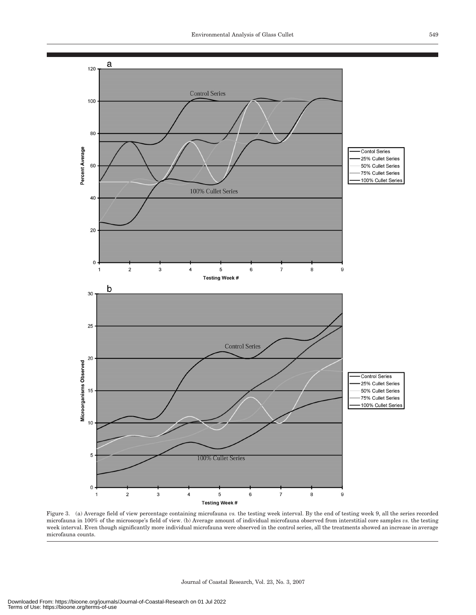

Figure 3. (a) Average field of view percentage containing microfauna *vs.* the testing week interval. By the end of testing week 9, all the series recorded microfauna in 100% of the microscope's field of view. (b) Average amount of individual microfauna observed from interstitial core samples *vs.* the testing week interval. Even though significantly more individual microfauna were observed in the control series, all the treatments showed an increase in average microfauna counts.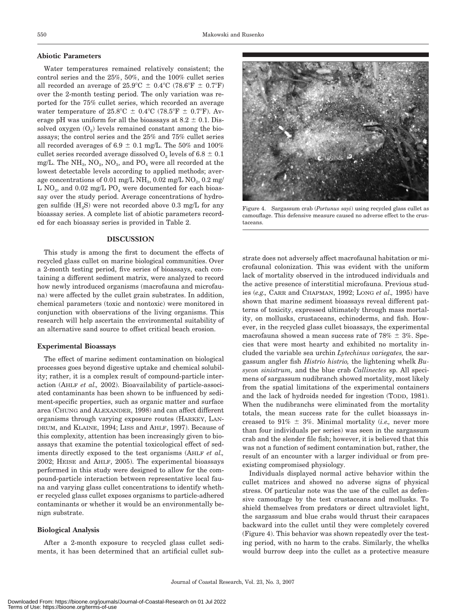#### **Abiotic Parameters**

Water temperatures remained relatively consistent; the control series and the 25%, 50%, and the 100% cullet series all recorded an average of  $25.9^{\circ}\text{C} \pm 0.4^{\circ}\text{C}$  (78.6°F  $\pm$  0.7°F) over the 2-month testing period. The only variation was reported for the 75% cullet series, which recorded an average water temperature of  $25.8^{\circ}\text{C} \pm 0.4^{\circ}\text{C}$  (78.5°F  $\pm$  0.7°F). Average pH was uniform for all the bioassays at  $8.2 \pm 0.1$ . Dissolved oxygen  $(O_2)$  levels remained constant among the bioassays; the control series and the 25% and 75% cullet series all recorded averages of 6.9  $\pm$  0.1 mg/L. The 50% and 100% cullet series recorded average dissolved  $O_2$  levels of 6.8  $\pm$  0.1 mg/L. The  $NH_3$ ,  $NO_2$ ,  $NO_3$ , and  $PO_4$  were all recorded at the lowest detectable levels according to applied methods; average concentrations of 0.01 mg/L NH<sub>3</sub>, 0.02 mg/L NO<sub>2</sub>, 0.2 mg/ L NO<sub>3</sub>, and 0.02 mg/L PO<sub>4</sub> were documented for each bioassay over the study period. Average concentrations of hydrogen sulfide  $(H_2S)$  were not recorded above 0.3 mg/L for any bioassay series. A complete list of abiotic parameters recorded for each bioassay series is provided in Table 2.

#### **DISCUSSION**

This study is among the first to document the effects of recycled glass cullet on marine biological communities. Over a 2-month testing period, five series of bioassays, each containing a different sediment matrix, were analyzed to record how newly introduced organisms (macrofauna and microfauna) were affected by the cullet grain substrates. In addition, chemical parameters (toxic and nontoxic) were monitored in conjunction with observations of the living organisms. This research will help ascertain the environmental suitability of an alternative sand source to offset critical beach erosion.

#### **Experimental Bioassays**

The effect of marine sediment contamination on biological processes goes beyond digestive uptake and chemical solubility; rather, it is a complex result of compound-particle interaction (AHLF *et al.,* 2002). Bioavailability of particle-associated contaminants has been shown to be influenced by sediment-specific properties, such as organic matter and surface area (CHUNG and ALEXANDER, 1998) and can affect different organisms through varying exposure routes (HARKEY, LAN-DRUM, and KLAINE, 1994; LISS and AHLF, 1997). Because of this complexity, attention has been increasingly given to bioassays that examine the potential toxicological effect of sediments directly exposed to the test organisms (AHLF *et al.,* 2002; HEISE and AHLF, 2005). The experimental bioassays performed in this study were designed to allow for the compound-particle interaction between representative local fauna and varying glass cullet concentrations to identify whether recycled glass cullet exposes organisms to particle-adhered contaminants or whether it would be an environmentally benign substrate.

#### **Biological Analysis**

After a 2-month exposure to recycled glass cullet sediments, it has been determined that an artificial cullet sub-



Figure 4. Sargassum crab (*Portunus sayi*) using recycled glass cullet as camouflage. This defensive measure caused no adverse effect to the crustaceans.

strate does not adversely affect macrofaunal habitation or microfaunal colonization. This was evident with the uniform lack of mortality observed in the introduced individuals and the active presence of interstitial microfauna. Previous studies (*e.g.,* CARR and CHAPMAN, 1992; LONG *et al.,* 1995) have shown that marine sediment bioassays reveal different patterns of toxicity, expressed ultimately through mass mortality, on mollusks, crustaceans, echinoderms, and fish. However, in the recycled glass cullet bioassays, the experimental macrofauna showed a mean success rate of  $78\% \pm 3\%$ . Species that were most hearty and exhibited no mortality included the variable sea urchin *Lytechinus variegates,* the sargassum angler fish *Histrio histrio,* the lightening whelk *Busycon sinistrum,* and the blue crab *Callinectes* sp. All specimens of sargassum nudibranch showed mortality, most likely from the spatial limitations of the experimental containers and the lack of hydroids needed for ingestion (TODD, 1981). When the nudibranchs were eliminated from the mortality totals, the mean success rate for the cullet bioassays increased to  $91\% \pm 3\%$ . Minimal mortality (*i.e.*, never more than four individuals per series) was seen in the sargassum crab and the slender file fish; however, it is believed that this was not a function of sediment contamination but, rather, the result of an encounter with a larger individual or from preexisting compromised physiology.

Individuals displayed normal active behavior within the cullet matrices and showed no adverse signs of physical stress. Of particular note was the use of the cullet as defensive camouflage by the test crustaceans and mollusks. To shield themselves from predators or direct ultraviolet light, the sargassum and blue crabs would thrust their carapaces backward into the cullet until they were completely covered (Figure 4). This behavior was shown repeatedly over the testing period, with no harm to the crabs. Similarly, the whelks would burrow deep into the cullet as a protective measure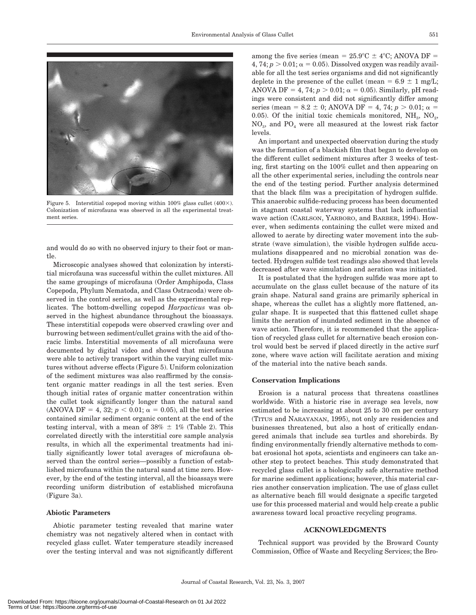

Figure 5. Interstitial copepod moving within 100% glass cullet  $(400\times)$ . Colonization of microfauna was observed in all the experimental treatment series.

and would do so with no observed injury to their foot or mantle.

Microscopic analyses showed that colonization by interstitial microfauna was successful within the cullet mixtures. All the same groupings of microfauna (Order Amphipoda, Class Copepoda, Phylum Nematoda, and Class Ostracoda) were observed in the control series, as well as the experimental replicates. The bottom-dwelling copepod *Harpacticus* was observed in the highest abundance throughout the bioassays. These interstitial copepods were observed crawling over and burrowing between sediment/cullet grains with the aid of thoracic limbs. Interstitial movements of all microfauna were documented by digital video and showed that microfauna were able to actively transport within the varying cullet mixtures without adverse effects (Figure 5). Uniform colonization of the sediment mixtures was also reaffirmed by the consistent organic matter readings in all the test series. Even though initial rates of organic matter concentration within the cullet took significantly longer than the natural sand (ANOVA DF = 4, 32;  $p < 0.01$ ;  $\alpha = 0.05$ ), all the test series contained similar sediment organic content at the end of the testing interval, with a mean of  $38\% \pm 1\%$  (Table 2). This correlated directly with the interstitial core sample analysis results, in which all the experimental treatments had initially significantly lower total averages of microfauna observed than the control series—possibly a function of established microfauna within the natural sand at time zero. However, by the end of the testing interval, all the bioassays were recording uniform distribution of established microfauna (Figure 3a).

### **Abiotic Parameters**

Abiotic parameter testing revealed that marine water chemistry was not negatively altered when in contact with recycled glass cullet. Water temperature steadily increased over the testing interval and was not significantly different

among the five series (mean =  $25.9^{\circ}\text{C} \pm 4^{\circ}\text{C}$ ; ANOVA DF =  $4, 74; p > 0.01; \alpha = 0.05$ ). Dissolved oxygen was readily available for all the test series organisms and did not significantly deplete in the presence of the cullet (mean =  $6.9 \pm 1$  mg/L; ANOVA DF =  $4$ ,  $74$ ;  $p > 0.01$ ;  $\alpha = 0.05$ ). Similarly, pH readings were consistent and did not significantly differ among series (mean = 8.2  $\pm$  0; ANOVA DF = 4, 74;  $p > 0.01$ ;  $\alpha$  = 0.05). Of the initial toxic chemicals monitored,  $NH<sub>3</sub>$ ,  $NO<sub>2</sub>$ , NO3, and PO4 were all measured at the lowest risk factor levels.

An important and unexpected observation during the study was the formation of a blackish film that began to develop on the different cullet sediment mixtures after 3 weeks of testing, first starting on the 100% cullet and then appearing on all the other experimental series, including the controls near the end of the testing period. Further analysis determined that the black film was a precipitation of hydrogen sulfide. This anaerobic sulfide-reducing process has been documented in stagnant coastal waterway systems that lack influential wave action (CARLSON, YARBORO, and BARBER, 1994). However, when sediments containing the cullet were mixed and allowed to aerate by directing water movement into the substrate (wave simulation), the visible hydrogen sulfide accumulations disappeared and no microbial zonation was detected. Hydrogen sulfide test readings also showed that levels decreased after wave simulation and aeration was initiated.

It is postulated that the hydrogen sulfide was more apt to accumulate on the glass cullet because of the nature of its grain shape. Natural sand grains are primarily spherical in shape, whereas the cullet has a slightly more flattened, angular shape. It is suspected that this flattened cullet shape limits the aeration of inundated sediment in the absence of wave action. Therefore, it is recommended that the application of recycled glass cullet for alternative beach erosion control would best be served if placed directly in the active surf zone, where wave action will facilitate aeration and mixing of the material into the native beach sands.

#### **Conservation Implications**

Erosion is a natural process that threatens coastlines worldwide. With a historic rise in average sea levels, now estimated to be increasing at about 25 to 30 cm per century (TITUS and NARAYANAN, 1995), not only are residencies and businesses threatened, but also a host of critically endangered animals that include sea turtles and shorebirds. By finding environmentally friendly alternative methods to combat erosional hot spots, scientists and engineers can take another step to protect beaches. This study demonstrated that recycled glass cullet is a biologically safe alternative method for marine sediment applications; however, this material carries another conservation implication. The use of glass cullet as alternative beach fill would designate a specific targeted use for this processed material and would help create a public awareness toward local proactive recycling programs.

# **ACKNOWLEDGMENTS**

Technical support was provided by the Broward County Commission, Office of Waste and Recycling Services; the Bro-